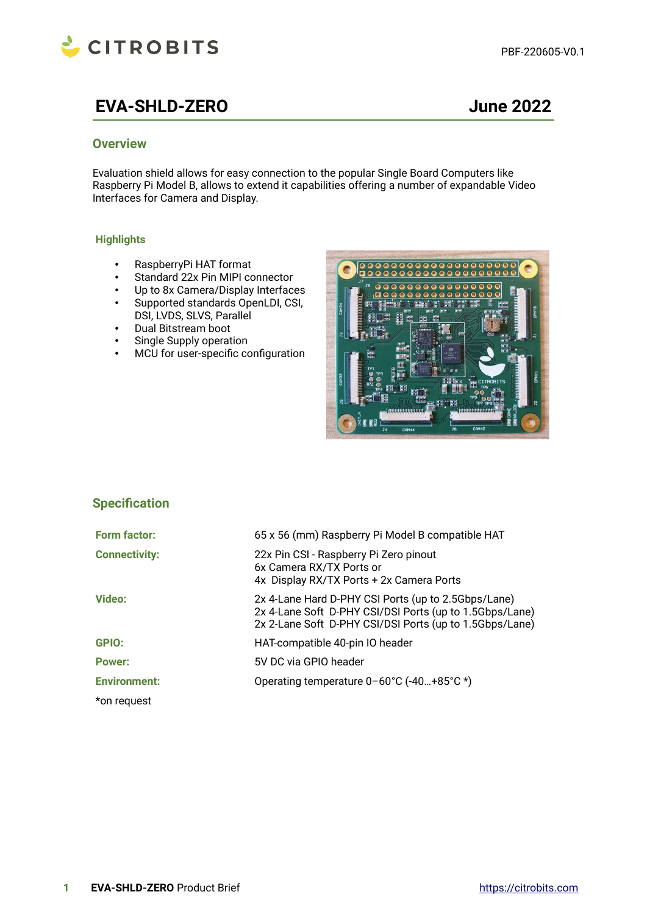

# **EVA-SHLD-ZERO June 2022**

#### **Overview**

Evaluation shield allows for easy connection to the popular Single Board Computers like Raspberry Pi Model B, allows to extend it capabilities offering a number of expandable Video Interfaces for Camera and Display.

#### **Highlights**

- RaspberryPi HAT format
- Standard 22x Pin MIPI connector<br>• In to 8x Camera/Display Interface
- Up to 8x Camera/Display Interfaces<br>• Supported standards OpenLDLCSL
- Supported standards OpenLDI, CSI, DSI, LVDS, SLVS, Parallel
- Dual Bitstream boot
- Single Supply operation<br>• MCU for user-specific co
- MCU for user-specific configuration



# **Specification**

| Form factor:         | 65 x 56 (mm) Raspberry Pi Model B compatible HAT                                                                                                                          |
|----------------------|---------------------------------------------------------------------------------------------------------------------------------------------------------------------------|
| <b>Connectivity:</b> | 22x Pin CSI - Raspberry Pi Zero pinout<br>6x Camera RX/TX Ports or<br>4x Display RX/TX Ports + 2x Camera Ports                                                            |
| Video:               | 2x 4-Lane Hard D-PHY CSI Ports (up to 2.5Gbps/Lane)<br>2x 4-Lane Soft D-PHY CSI/DSI Ports (up to 1.5Gbps/Lane)<br>2x 2-Lane Soft D-PHY CSI/DSI Ports (up to 1.5Gbps/Lane) |
| GPIO:                | HAT-compatible 40-pin IO header                                                                                                                                           |
| <b>Power:</b>        | 5V DC via GPIO header                                                                                                                                                     |
| <b>Environment:</b>  | Operating temperature 0-60°C (-40+85°C *)                                                                                                                                 |
| *on request          |                                                                                                                                                                           |